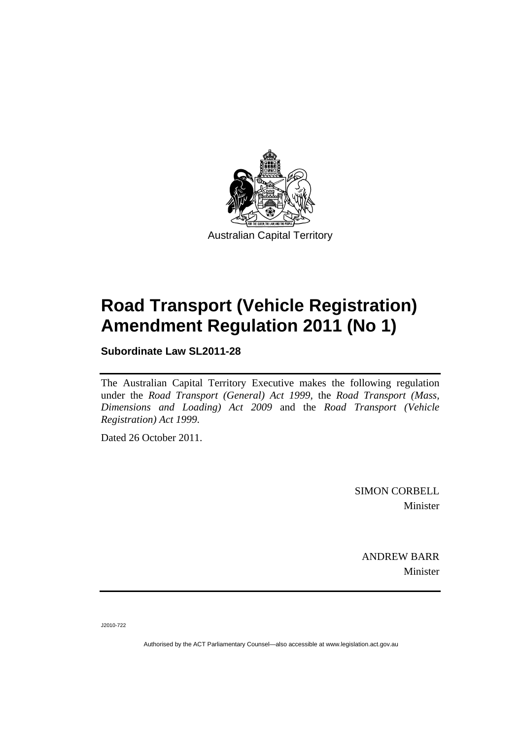

Australian Capital Territory

# **Road Transport (Vehicle Registration) Amendment Regulation 2011 (No 1)**

**Subordinate Law SL2011-28** 

The Australian Capital Territory Executive makes the following regulation under the *Road Transport (General) Act 1999,* the *Road Transport (Mass, Dimensions and Loading) Act 2009* and the *Road Transport (Vehicle Registration) Act 1999*.

Dated 26 October 2011.

SIMON CORBELL Minister

ANDREW BARR Minister

J2010-722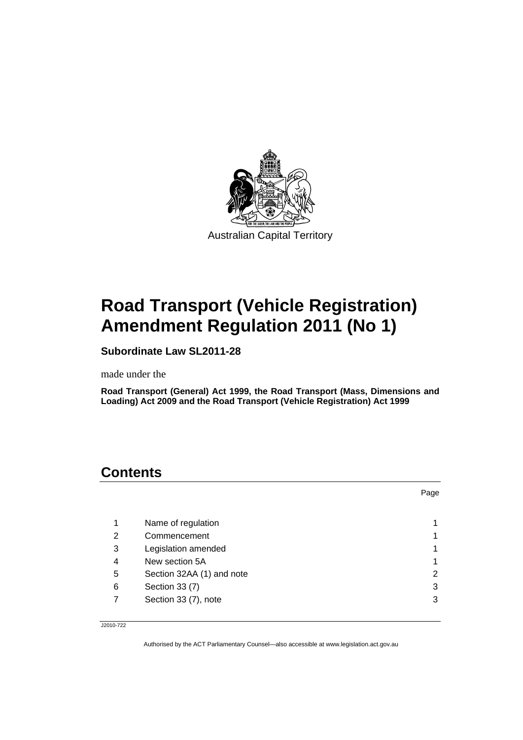

# **Road Transport (Vehicle Registration) Amendment Regulation 2011 (No 1)**

**Subordinate Law SL2011-28** 

made under the

**Road Transport (General) Act 1999, the Road Transport (Mass, Dimensions and Loading) Act 2009 and the Road Transport (Vehicle Registration) Act 1999** 

# **Contents**

|   |                           | Page |
|---|---------------------------|------|
|   |                           |      |
| 1 | Name of regulation        |      |
| 2 | Commencement              |      |
| 3 | Legislation amended       |      |
| 4 | New section 5A            |      |
| 5 | Section 32AA (1) and note | 2    |
| 6 | Section 33 (7)            | 3    |
|   | Section 33 (7), note      | 3    |

J2010-722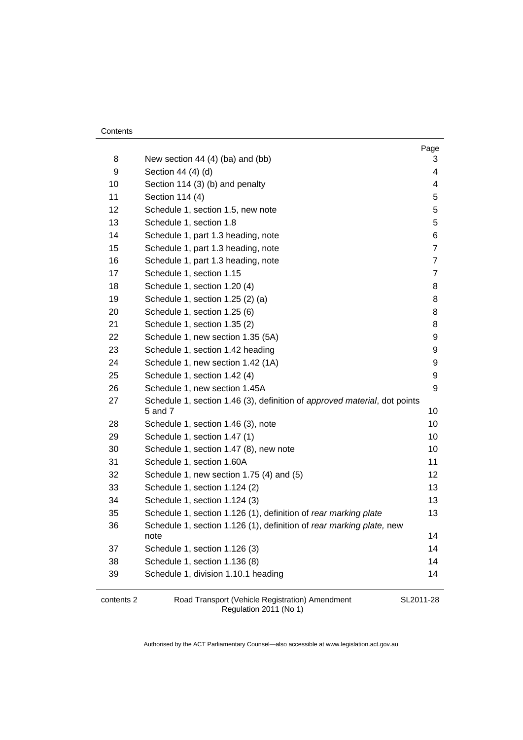| Contents |
|----------|
|----------|

| 8  | New section 44 $(4)$ (ba) and (bb)                                                   | Page<br>3        |
|----|--------------------------------------------------------------------------------------|------------------|
| 9  | Section 44 (4) (d)                                                                   | 4                |
| 10 | Section 114 (3) (b) and penalty                                                      | 4                |
| 11 | Section 114 (4)                                                                      | 5                |
| 12 | Schedule 1, section 1.5, new note                                                    | 5                |
| 13 | Schedule 1, section 1.8                                                              | 5                |
| 14 | Schedule 1, part 1.3 heading, note                                                   | 6                |
| 15 | Schedule 1, part 1.3 heading, note                                                   | $\overline{7}$   |
| 16 | Schedule 1, part 1.3 heading, note                                                   | $\overline{7}$   |
| 17 | Schedule 1, section 1.15                                                             | $\overline{7}$   |
| 18 | Schedule 1, section 1.20 (4)                                                         | 8                |
| 19 | Schedule 1, section 1.25 (2) (a)                                                     | 8                |
| 20 | Schedule 1, section 1.25 (6)                                                         | 8                |
| 21 | Schedule 1, section 1.35 (2)                                                         | 8                |
| 22 | Schedule 1, new section 1.35 (5A)                                                    | 9                |
| 23 | Schedule 1, section 1.42 heading                                                     | 9                |
| 24 | Schedule 1, new section 1.42 (1A)                                                    | 9                |
| 25 | Schedule 1, section 1.42 (4)                                                         | $\boldsymbol{9}$ |
| 26 | Schedule 1, new section 1.45A                                                        | 9                |
| 27 | Schedule 1, section 1.46 (3), definition of approved material, dot points<br>5 and 7 | 10               |
| 28 | Schedule 1, section 1.46 (3), note                                                   | 10               |
| 29 | Schedule 1, section 1.47 (1)                                                         | 10               |
| 30 | Schedule 1, section 1.47 (8), new note                                               | 10               |
| 31 | Schedule 1, section 1.60A                                                            | 11               |
| 32 | Schedule 1, new section 1.75 (4) and (5)                                             | 12               |
| 33 | Schedule 1, section 1.124 (2)                                                        | 13               |
| 34 | Schedule 1, section 1.124 (3)                                                        | 13               |
| 35 | Schedule 1, section 1.126 (1), definition of rear marking plate                      | 13               |
| 36 | Schedule 1, section 1.126 (1), definition of rear marking plate, new                 |                  |
|    | note                                                                                 | 14               |
| 37 | Schedule 1, section 1.126 (3)                                                        | 14               |
| 38 | Schedule 1, section 1.136 (8)                                                        | 14               |
| 39 | Schedule 1, division 1.10.1 heading                                                  | 14               |

contents 2 Road Transport (Vehicle Registration) Amendment Regulation 2011 (No 1)

SL2011-28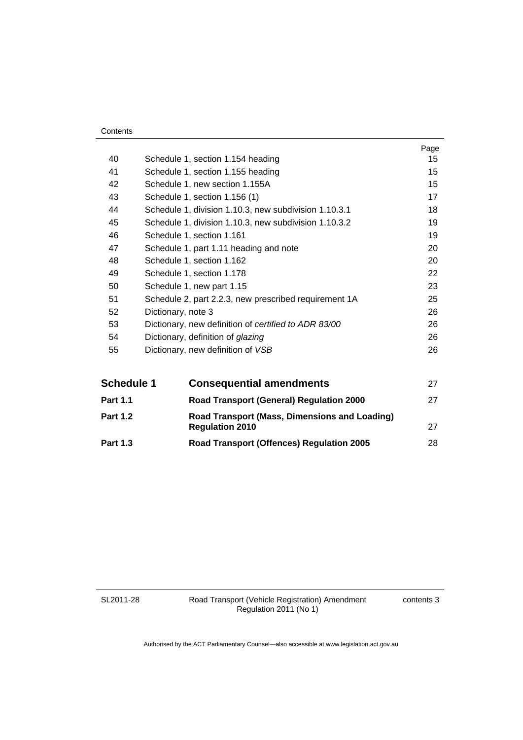| Contents |
|----------|
|----------|

|    |                                                       | Page |
|----|-------------------------------------------------------|------|
| 40 | Schedule 1, section 1.154 heading                     | 15   |
| 41 | Schedule 1, section 1.155 heading                     | 15   |
| 42 | Schedule 1, new section 1.155A                        | 15   |
| 43 | Schedule 1, section 1.156 (1)                         | 17   |
| 44 | Schedule 1, division 1.10.3, new subdivision 1.10.3.1 | 18   |
| 45 | Schedule 1, division 1.10.3, new subdivision 1.10.3.2 | 19   |
| 46 | Schedule 1, section 1.161                             | 19   |
| 47 | Schedule 1, part 1.11 heading and note                | 20   |
| 48 | Schedule 1, section 1.162                             | 20   |
| 49 | Schedule 1, section 1.178                             | 22   |
| 50 | Schedule 1, new part 1.15                             | 23   |
| 51 | Schedule 2, part 2.2.3, new prescribed requirement 1A | 25   |
| 52 | Dictionary, note 3                                    | 26   |
| 53 | Dictionary, new definition of certified to ADR 83/00  | 26   |
| 54 | Dictionary, definition of glazing                     | 26   |
| 55 | Dictionary, new definition of VSB                     | 26   |
|    |                                                       |      |

| <b>Schedule 1</b> | <b>Consequential amendments</b>                                         | 27 |
|-------------------|-------------------------------------------------------------------------|----|
| <b>Part 1.1</b>   | <b>Road Transport (General) Regulation 2000</b>                         | 27 |
| <b>Part 1.2</b>   | Road Transport (Mass, Dimensions and Loading)<br><b>Regulation 2010</b> | 27 |
| <b>Part 1.3</b>   | <b>Road Transport (Offences) Regulation 2005</b>                        | 28 |

SL2011-28

Road Transport (Vehicle Registration) Amendment Regulation 2011 (No 1)

contents 3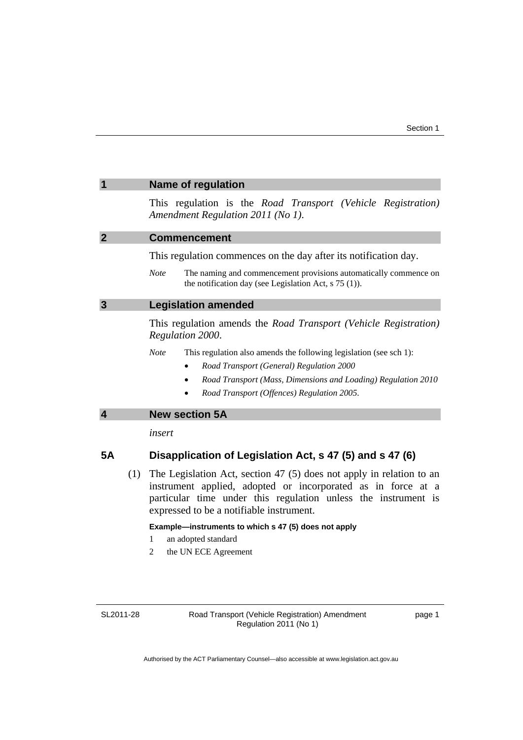<span id="page-6-2"></span><span id="page-6-1"></span><span id="page-6-0"></span>

|                         | <b>Name of regulation</b>                                                                                                                                                                                                                              |
|-------------------------|--------------------------------------------------------------------------------------------------------------------------------------------------------------------------------------------------------------------------------------------------------|
|                         | This regulation is the Road Transport (Vehicle Registration)<br>Amendment Regulation 2011 (No 1).                                                                                                                                                      |
| $\overline{2}$          | <b>Commencement</b>                                                                                                                                                                                                                                    |
|                         | This regulation commences on the day after its notification day.                                                                                                                                                                                       |
|                         | <b>Note</b><br>The naming and commencement provisions automatically commence on<br>the notification day (see Legislation Act, $s$ 75 (1)).                                                                                                             |
| $\overline{3}$          | <b>Legislation amended</b>                                                                                                                                                                                                                             |
|                         | This regulation amends the Road Transport (Vehicle Registration)<br>Regulation 2000.                                                                                                                                                                   |
|                         | <b>Note</b><br>This regulation also amends the following legislation (see sch 1):<br>Road Transport (General) Regulation 2000<br>$\bullet$<br>Road Transport (Mass, Dimensions and Loading) Regulation 2010                                            |
|                         | Road Transport (Offences) Regulation 2005.                                                                                                                                                                                                             |
| $\overline{\mathbf{4}}$ | <b>New section 5A</b>                                                                                                                                                                                                                                  |
|                         | insert                                                                                                                                                                                                                                                 |
| <b>5A</b>               | Disapplication of Legislation Act, s 47 (5) and s 47 (6)                                                                                                                                                                                               |
|                         | (1) The Legislation Act, section 47 (5) does not apply in relation to an<br>instrument applied, adopted or incorporated as in force at a<br>particular time under this regulation unless the instrument is<br>expressed to be a notifiable instrument. |
|                         | Example-instruments to which s 47 (5) does not apply<br>1<br>an adopted standard<br>the UN ECE Agreement<br>2                                                                                                                                          |

<span id="page-6-3"></span>SL2011-28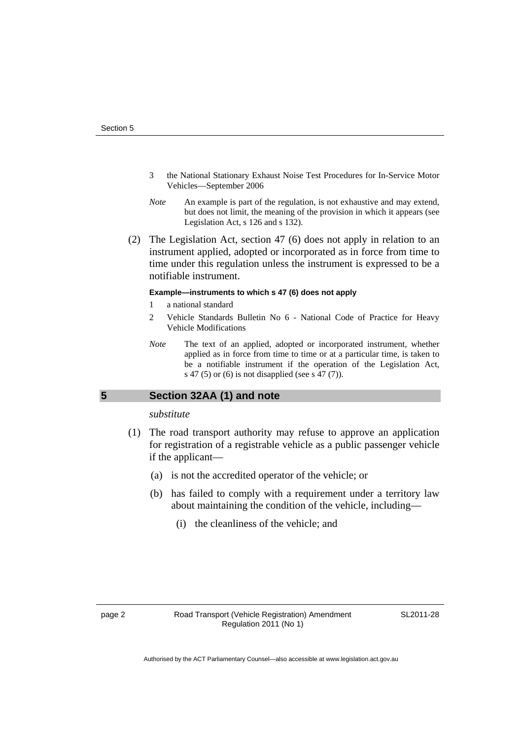- 3 the National Stationary Exhaust Noise Test Procedures for In-Service Motor Vehicles—September 2006
- *Note* An example is part of the regulation, is not exhaustive and may extend, but does not limit, the meaning of the provision in which it appears (see Legislation Act, s 126 and s 132).
- (2) The Legislation Act, section 47 (6) does not apply in relation to an instrument applied, adopted or incorporated as in force from time to time under this regulation unless the instrument is expressed to be a notifiable instrument.

#### **Example—instruments to which s 47 (6) does not apply**

- 1 a national standard
- 2 Vehicle Standards Bulletin No 6 National Code of Practice for Heavy Vehicle Modifications
- *Note* The text of an applied, adopted or incorporated instrument, whether applied as in force from time to time or at a particular time, is taken to be a notifiable instrument if the operation of the Legislation Act, s 47 (5) or (6) is not disapplied (see s 47 (7)).

### <span id="page-7-0"></span>**5 Section 32AA (1) and note**

#### *substitute*

- (1) The road transport authority may refuse to approve an application for registration of a registrable vehicle as a public passenger vehicle if the applicant—
	- (a) is not the accredited operator of the vehicle; or
	- (b) has failed to comply with a requirement under a territory law about maintaining the condition of the vehicle, including––
		- (i) the cleanliness of the vehicle; and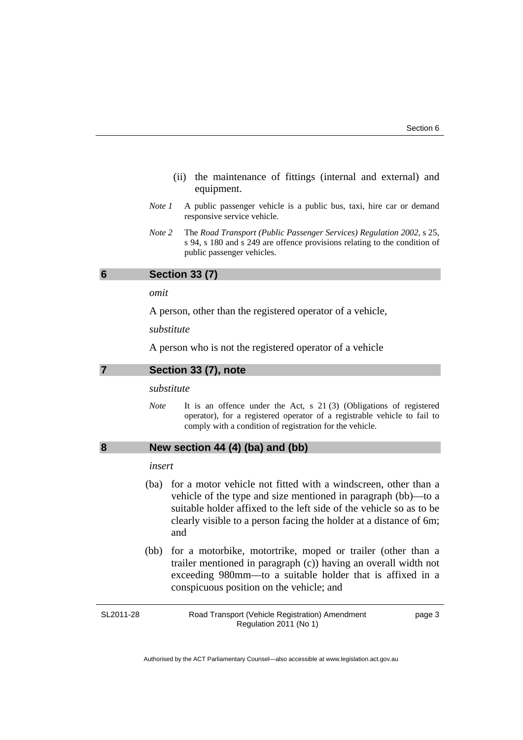- (ii) the maintenance of fittings (internal and external) and equipment.
- *Note 1* A public passenger vehicle is a public bus, taxi, hire car or demand responsive service vehicle.
- *Note 2* The *Road Transport (Public Passenger Services) Regulation 2002*, s 25, s 94, s 180 and s 249 are offence provisions relating to the condition of public passenger vehicles.

#### <span id="page-8-0"></span>**6 Section 33 (7)**

*omit* 

A person, other than the registered operator of a vehicle,

*substitute* 

A person who is not the registered operator of a vehicle

#### <span id="page-8-1"></span>**7 Section 33 (7), note**

#### *substitute*

*Note* It is an offence under the Act, s 21 (3) (Obligations of registered operator), for a registered operator of a registrable vehicle to fail to comply with a condition of registration for the vehicle.

### <span id="page-8-2"></span>**8 New section 44 (4) (ba) and (bb)**

#### *insert*

- (ba) for a motor vehicle not fitted with a windscreen, other than a vehicle of the type and size mentioned in paragraph (bb)––to a suitable holder affixed to the left side of the vehicle so as to be clearly visible to a person facing the holder at a distance of 6m; and
- (bb) for a motorbike, motortrike, moped or trailer (other than a trailer mentioned in paragraph (c)) having an overall width not exceeding 980mm––to a suitable holder that is affixed in a conspicuous position on the vehicle; and

Road Transport (Vehicle Registration) Amendment Regulation 2011 (No 1)

page 3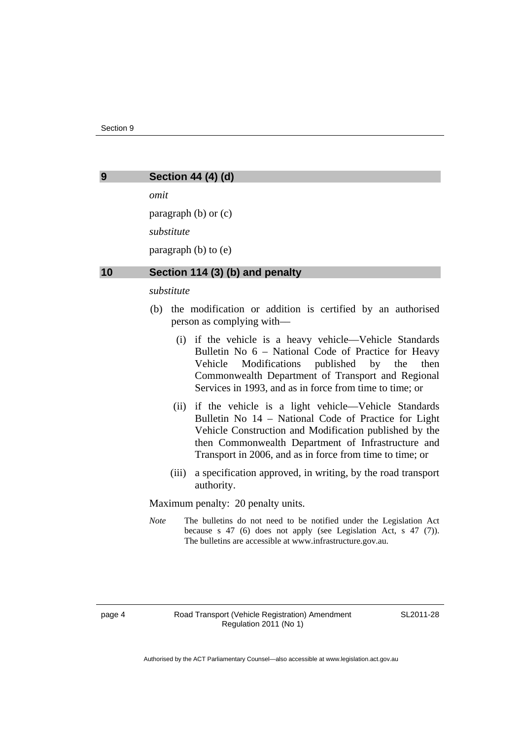<span id="page-9-0"></span>

#### **9 Section 44 (4) (d)**

*omit* 

paragraph (b) or (c) *substitute*  paragraph (b) to (e)

#### <span id="page-9-1"></span>**10 Section 114 (3) (b) and penalty**

#### *substitute*

- (b) the modification or addition is certified by an authorised person as complying with––
	- (i) if the vehicle is a heavy vehicle––Vehicle Standards Bulletin No 6 – National Code of Practice for Heavy Vehicle Modifications published by the then Commonwealth Department of Transport and Regional Services in 1993, and as in force from time to time; or
	- (ii) if the vehicle is a light vehicle––Vehicle Standards Bulletin No 14 – National Code of Practice for Light Vehicle Construction and Modification published by the then Commonwealth Department of Infrastructure and Transport in 2006, and as in force from time to time; or
	- (iii) a specification approved, in writing, by the road transport authority.

Maximum penalty: 20 penalty units.

*Note* The bulletins do not need to be notified under the Legislation Act because s 47 (6) does not apply (see Legislation Act, s 47 (7)). The bulletins are accessible at www.infrastructure.gov.au.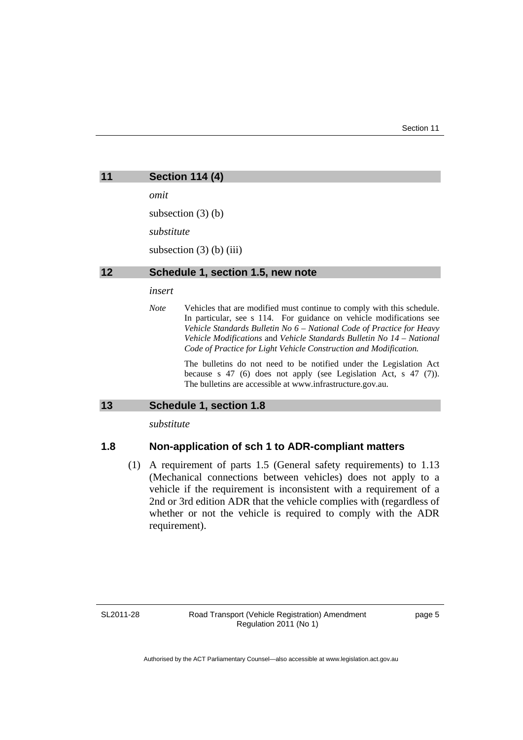<span id="page-10-1"></span><span id="page-10-0"></span>

| 11 | <b>Section 114 (4)</b>                                                                                                                                       |
|----|--------------------------------------------------------------------------------------------------------------------------------------------------------------|
|    | omit                                                                                                                                                         |
|    | subsection $(3)$ (b)                                                                                                                                         |
|    | substitute                                                                                                                                                   |
|    | subsection $(3)$ (b) $(iii)$                                                                                                                                 |
| 12 | Schedule 1, section 1.5, new note                                                                                                                            |
|    | insert                                                                                                                                                       |
|    | <b>Note</b><br>Vehicles that are modified must continue to comply with this schedule.<br>In particular, see s 114. For guidance on vehicle modifications see |

In particular, see s 114. For guidance on vehicle modifications see *Vehicle Standards Bulletin No 6* – *National Code of Practice for Heavy Vehicle Modifications* and *Vehicle Standards Bulletin No 14* – *National Code of Practice for Light Vehicle Construction and Modification.* 

The bulletins do not need to be notified under the Legislation Act because s 47 (6) does not apply (see Legislation Act, s 47 (7)). The bulletins are accessible at www.infrastructure.gov.au.

### <span id="page-10-2"></span>**13 Schedule 1, section 1.8**

*substitute* 

### **1.8 Non-application of sch 1 to ADR-compliant matters**

 (1) A requirement of parts 1.5 (General safety requirements) to 1.13 (Mechanical connections between vehicles) does not apply to a vehicle if the requirement is inconsistent with a requirement of a 2nd or 3rd edition ADR that the vehicle complies with (regardless of whether or not the vehicle is required to comply with the ADR requirement).

SL2011-28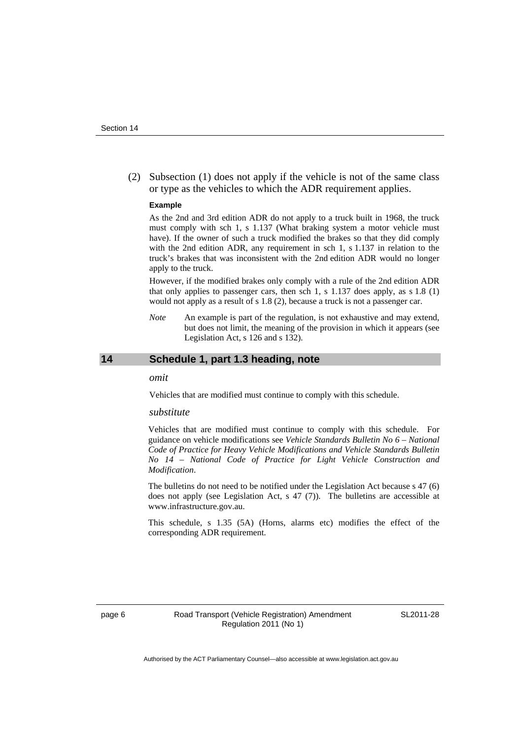(2) Subsection (1) does not apply if the vehicle is not of the same class or type as the vehicles to which the ADR requirement applies.

#### **Example**

As the 2nd and 3rd edition ADR do not apply to a truck built in 1968, the truck must comply with sch 1, s 1.137 (What braking system a motor vehicle must have). If the owner of such a truck modified the brakes so that they did comply with the 2nd edition ADR, any requirement in sch 1, s 1.137 in relation to the truck's brakes that was inconsistent with the 2nd edition ADR would no longer apply to the truck.

However, if the modified brakes only comply with a rule of the 2nd edition ADR that only applies to passenger cars, then sch 1, s  $1.137$  does apply, as s  $1.8$  (1) would not apply as a result of s 1.8 (2), because a truck is not a passenger car.

*Note* An example is part of the regulation, is not exhaustive and may extend, but does not limit, the meaning of the provision in which it appears (see Legislation Act, s 126 and s 132).

#### <span id="page-11-0"></span>**14 Schedule 1, part 1.3 heading, note**

*omit* 

Vehicles that are modified must continue to comply with this schedule.

#### *substitute*

Vehicles that are modified must continue to comply with this schedule. For guidance on vehicle modifications see *Vehicle Standards Bulletin No 6 – National Code of Practice for Heavy Vehicle Modifications and Vehicle Standards Bulletin No 14 – National Code of Practice for Light Vehicle Construction and Modification*.

The bulletins do not need to be notified under the Legislation Act because s 47 (6) does not apply (see Legislation Act, s 47 (7)). The bulletins are accessible at www.infrastructure.gov.au.

This schedule, s 1.35 (5A) (Horns, alarms etc) modifies the effect of the corresponding ADR requirement.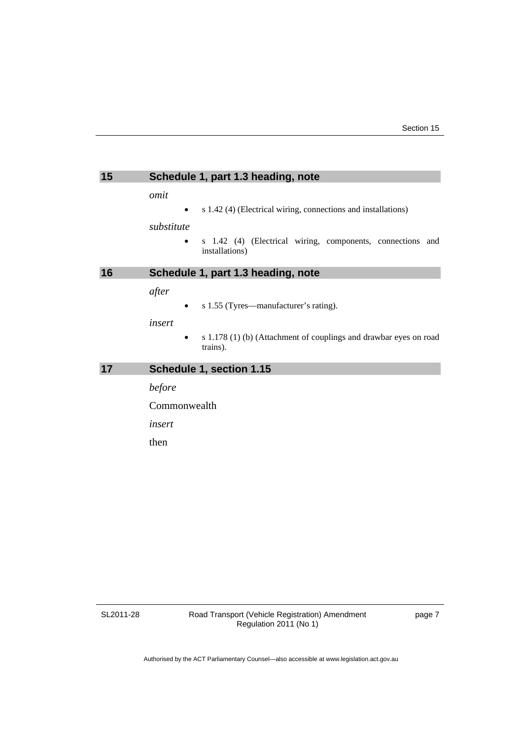<span id="page-12-2"></span><span id="page-12-1"></span><span id="page-12-0"></span>

| 15 | Schedule 1, part 1.3 heading, note                                                       |
|----|------------------------------------------------------------------------------------------|
|    | omit<br>s 1.42 (4) (Electrical wiring, connections and installations)<br>٠<br>substitute |
|    | s 1.42 (4) (Electrical wiring, components, connections and<br>installations)             |
| 16 | Schedule 1, part 1.3 heading, note                                                       |
|    | after<br>s 1.55 (Tyres—manufacturer's rating).<br>٠                                      |
|    | insert<br>s 1.178 (1) (b) (Attachment of couplings and drawbar eyes on road<br>trains).  |
| 17 | Schedule 1, section 1.15                                                                 |
|    | before                                                                                   |
|    | Commonwealth                                                                             |
|    | insert                                                                                   |
|    | then                                                                                     |
|    |                                                                                          |

SL2011-28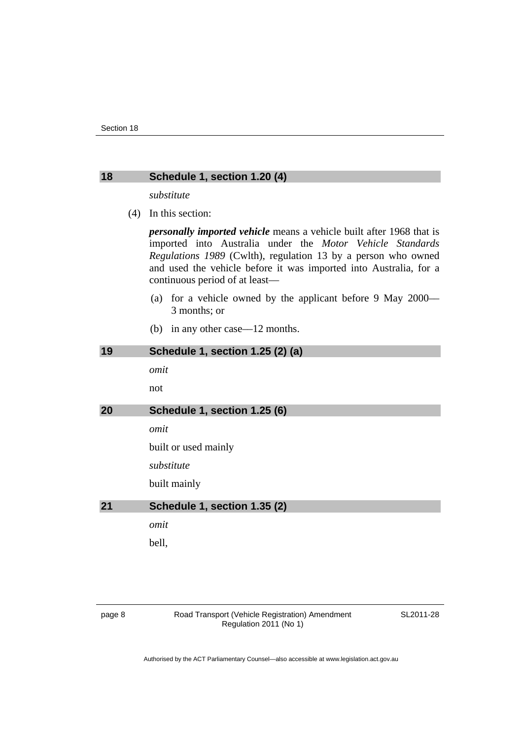### <span id="page-13-0"></span>**18 Schedule 1, section 1.20 (4)**

*substitute* 

(4) In this section:

*personally imported vehicle* means a vehicle built after 1968 that is imported into Australia under the *Motor Vehicle Standards Regulations 1989* (Cwlth), regulation 13 by a person who owned and used the vehicle before it was imported into Australia, for a continuous period of at least––

- (a) for a vehicle owned by the applicant before 9 May 2000–– 3 months; or
- (b) in any other case—12 months.

<span id="page-13-3"></span><span id="page-13-2"></span><span id="page-13-1"></span>

| 19 | Schedule 1, section 1.25 (2) (a) |
|----|----------------------------------|
|    | omit                             |
|    | not                              |
| 20 | Schedule 1, section 1.25 (6)     |
|    | omit                             |
|    | built or used mainly             |
|    | substitute                       |
|    | built mainly                     |
| 21 | Schedule 1, section 1.35 (2)     |
|    | omit                             |
|    | bell,                            |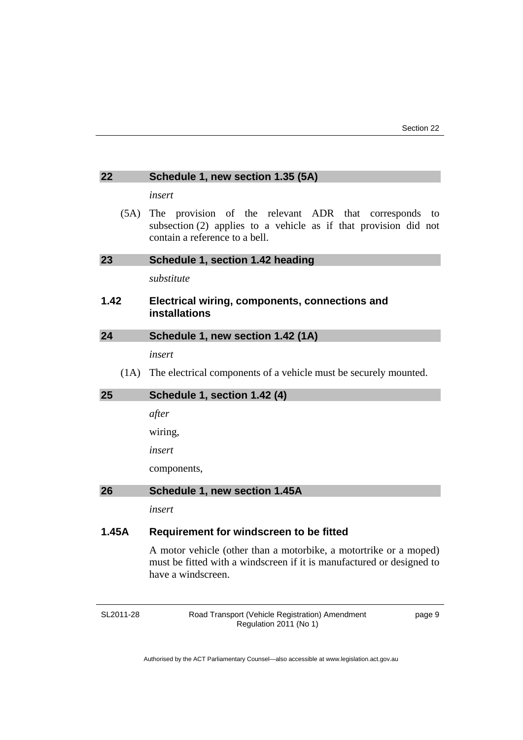<span id="page-14-3"></span><span id="page-14-2"></span><span id="page-14-1"></span><span id="page-14-0"></span>

| 22    | Schedule 1, new section 1.35 (5A)                                                                                                                                |  |
|-------|------------------------------------------------------------------------------------------------------------------------------------------------------------------|--|
|       | insert                                                                                                                                                           |  |
| (5A)  | The provision of the relevant ADR that corresponds<br>to<br>subsection $(2)$ applies to a vehicle as if that provision did not<br>contain a reference to a bell. |  |
| 23    | Schedule 1, section 1.42 heading                                                                                                                                 |  |
|       | substitute                                                                                                                                                       |  |
| 1.42  | Electrical wiring, components, connections and<br>installations                                                                                                  |  |
| 24    | Schedule 1, new section 1.42 (1A)                                                                                                                                |  |
|       | insert                                                                                                                                                           |  |
| (1A)  | The electrical components of a vehicle must be securely mounted.                                                                                                 |  |
| 25    | Schedule 1, section 1.42 (4)                                                                                                                                     |  |
|       | after                                                                                                                                                            |  |
|       | wiring,                                                                                                                                                          |  |
|       | insert                                                                                                                                                           |  |
|       | components,                                                                                                                                                      |  |
| 26    | Schedule 1, new section 1.45A                                                                                                                                    |  |
|       | insert                                                                                                                                                           |  |
| 1.45A | Requirement for windscreen to be fitted                                                                                                                          |  |
|       | A motor vehicle (other than a motorbike, a motortrike or a moped)<br>must be fitted with a windscreen if it is manufactured or designed to<br>have a windscreen. |  |

<span id="page-14-4"></span>SL2011-28

Road Transport (Vehicle Registration) Amendment Regulation 2011 (No 1)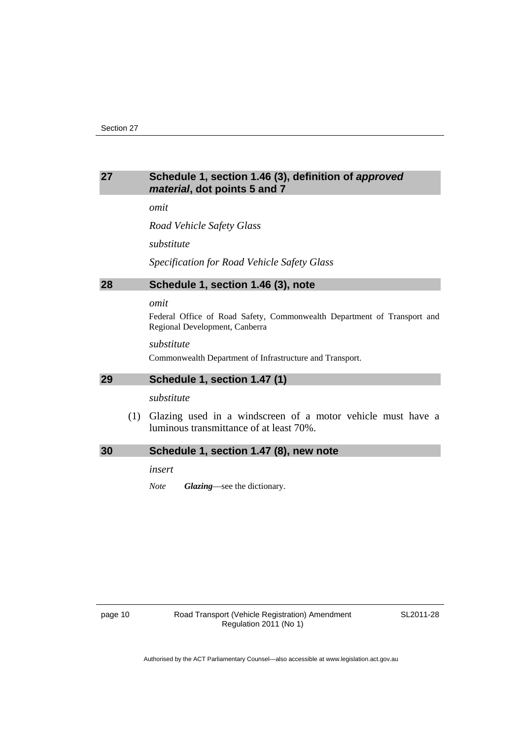### <span id="page-15-0"></span>**27 Schedule 1, section 1.46 (3), definition of** *approved material***, dot points 5 and 7**

*omit* 

*Road Vehicle Safety Glass* 

*substitute* 

*Specification for Road Vehicle Safety Glass*

#### <span id="page-15-1"></span>**28 Schedule 1, section 1.46 (3), note**

#### *omit*

Federal Office of Road Safety, Commonwealth Department of Transport and Regional Development, Canberra

*substitute* 

Commonwealth Department of Infrastructure and Transport.

#### <span id="page-15-2"></span>**29 Schedule 1, section 1.47 (1)**

*substitute* 

 (1) Glazing used in a windscreen of a motor vehicle must have a luminous transmittance of at least 70%.

<span id="page-15-3"></span>

| 30<br>Schedule 1, section 1.47 (8), new note |
|----------------------------------------------|
|----------------------------------------------|

*insert* 

*Note Glazing*—see the dictionary.

page 10 **Road Transport (Vehicle Registration) Amendment** Regulation 2011 (No 1)

SL2011-28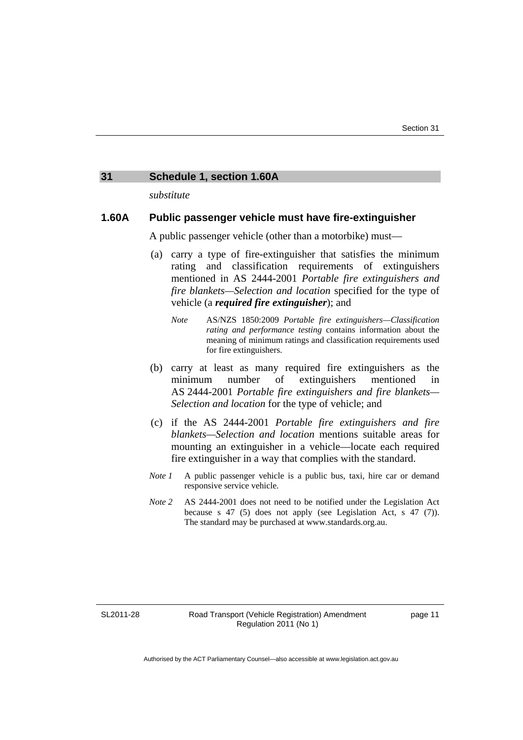#### <span id="page-16-0"></span>**31 Schedule 1, section 1.60A**

*substitute* 

### **1.60A Public passenger vehicle must have fire-extinguisher**

A public passenger vehicle (other than a motorbike) must—

- (a) carry a type of fire-extinguisher that satisfies the minimum rating and classification requirements of extinguishers mentioned in AS 2444-2001 *Portable fire extinguishers and fire blankets—Selection and location* specified for the type of vehicle (a *required fire extinguisher*); and
	- *Note* AS/NZS 1850:2009 *Portable fire extinguishers—Classification rating and performance testing* contains information about the meaning of minimum ratings and classification requirements used for fire extinguishers.
- (b) carry at least as many required fire extinguishers as the minimum number of extinguishers mentioned in AS 2444-2001 *Portable fire extinguishers and fire blankets— Selection and location* for the type of vehicle; and
- (c) if the AS 2444-2001 *Portable fire extinguishers and fire blankets—Selection and location* mentions suitable areas for mounting an extinguisher in a vehicle—locate each required fire extinguisher in a way that complies with the standard.
- *Note 1* A public passenger vehicle is a public bus, taxi, hire car or demand responsive service vehicle.
- *Note 2* AS 2444-2001 does not need to be notified under the Legislation Act because s 47 (5) does not apply (see Legislation Act, s 47 (7)). The standard may be purchased at www.standards.org.au.

SL2011-28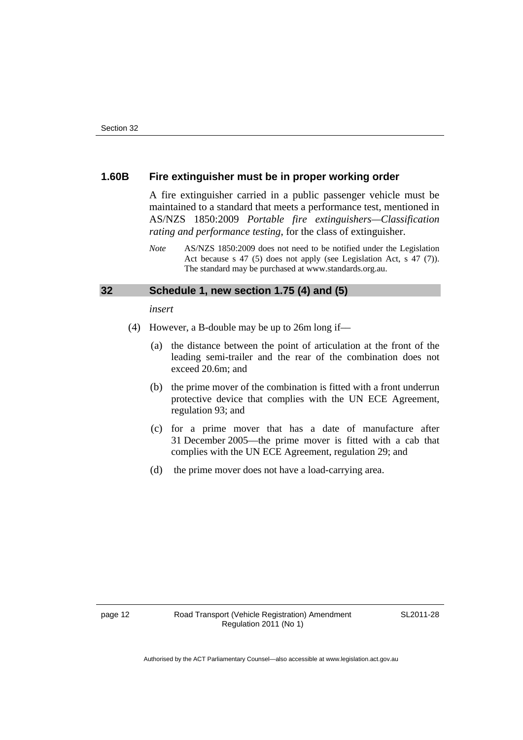### **1.60B Fire extinguisher must be in proper working order**

A fire extinguisher carried in a public passenger vehicle must be maintained to a standard that meets a performance test, mentioned in AS/NZS 1850:2009 *Portable fire extinguishers—Classification rating and performance testing*, for the class of extinguisher.

### <span id="page-17-0"></span>**32 Schedule 1, new section 1.75 (4) and (5)**

*insert* 

- (4) However, a B-double may be up to 26m long if––
	- (a) the distance between the point of articulation at the front of the leading semi-trailer and the rear of the combination does not exceed 20.6m; and
	- (b) the prime mover of the combination is fitted with a front underrun protective device that complies with the UN ECE Agreement, regulation 93; and
	- (c) for a prime mover that has a date of manufacture after 31 December 2005––the prime mover is fitted with a cab that complies with the UN ECE Agreement, regulation 29; and
	- (d) the prime mover does not have a load-carrying area.

*Note* AS/NZS 1850:2009 does not need to be notified under the Legislation Act because s 47 (5) does not apply (see Legislation Act, s 47 (7)). The standard may be purchased at www.standards.org.au.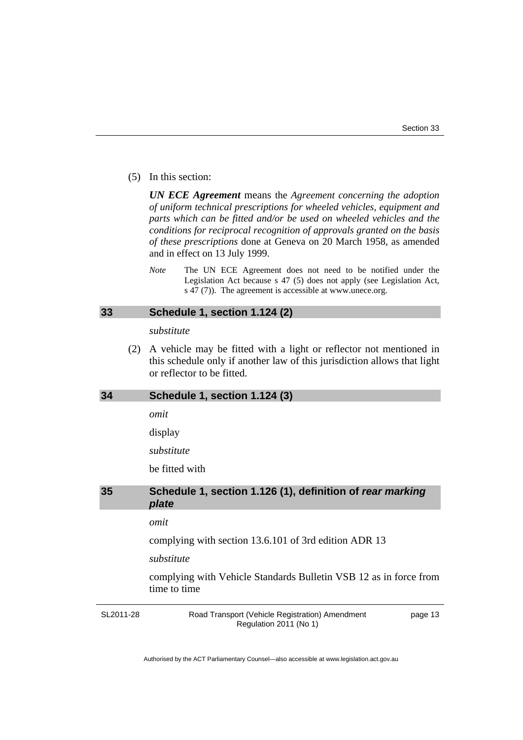(5) In this section:

*UN ECE Agreement* means the *Agreement concerning the adoption of uniform technical prescriptions for wheeled vehicles, equipment and parts which can be fitted and/or be used on wheeled vehicles and the conditions for reciprocal recognition of approvals granted on the basis of these prescriptions* done at Geneva on 20 March 1958, as amended and in effect on 13 July 1999.

*Note* The UN ECE Agreement does not need to be notified under the Legislation Act because s 47 (5) does not apply (see Legislation Act, s 47 (7)). The agreement is accessible at www.unece.org.

#### <span id="page-18-0"></span>**33 Schedule 1, section 1.124 (2)**

#### *substitute*

 (2) A vehicle may be fitted with a light or reflector not mentioned in this schedule only if another law of this jurisdiction allows that light or reflector to be fitted.

### <span id="page-18-1"></span>**34 Schedule 1, section 1.124 (3)**

*omit* 

display

*substitute* 

be fitted with

### <span id="page-18-2"></span>**35 Schedule 1, section 1.126 (1), definition of** *rear marking plate*

### *omit*

complying with section 13.6.101 of 3rd edition ADR 13

#### *substitute*

complying with Vehicle Standards Bulletin VSB 12 as in force from time to time

SL2011-28

Road Transport (Vehicle Registration) Amendment Regulation 2011 (No 1)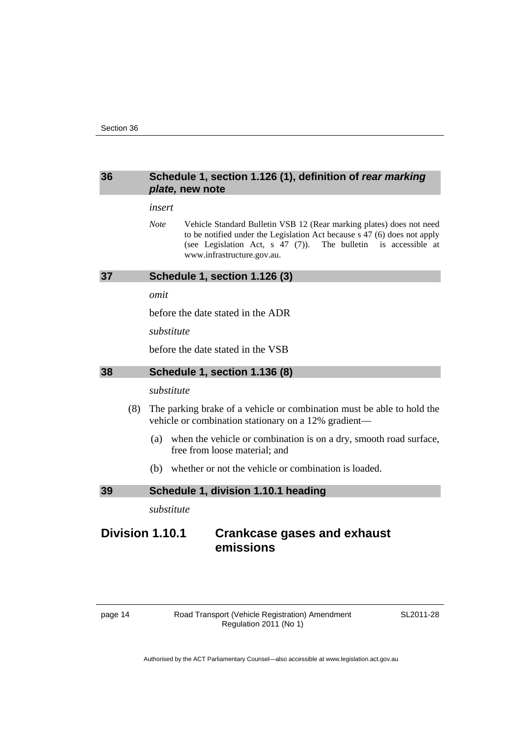### <span id="page-19-0"></span>**36 Schedule 1, section 1.126 (1), definition of** *rear marking plate,* **new note**

#### *insert*

*Note* Vehicle Standard Bulletin VSB 12 (Rear marking plates) does not need to be notified under the Legislation Act because s 47 (6) does not apply (see Legislation Act, s 47 (7)). The bulletin is accessible at www.infrastructure.gov.au.

#### <span id="page-19-1"></span>**37 Schedule 1, section 1.126 (3)**

#### *omit*

before the date stated in the ADR

*substitute* 

before the date stated in the VSB

### <span id="page-19-2"></span>**38 Schedule 1, section 1.136 (8)**

### *substitute*

- (8) The parking brake of a vehicle or combination must be able to hold the vehicle or combination stationary on a 12% gradient—
	- (a) when the vehicle or combination is on a dry, smooth road surface, free from loose material; and
	- (b) whether or not the vehicle or combination is loaded.

#### <span id="page-19-3"></span>**39 Schedule 1, division 1.10.1 heading**

*substitute* 

## **Division 1.10.1 Crankcase gases and exhaust emissions**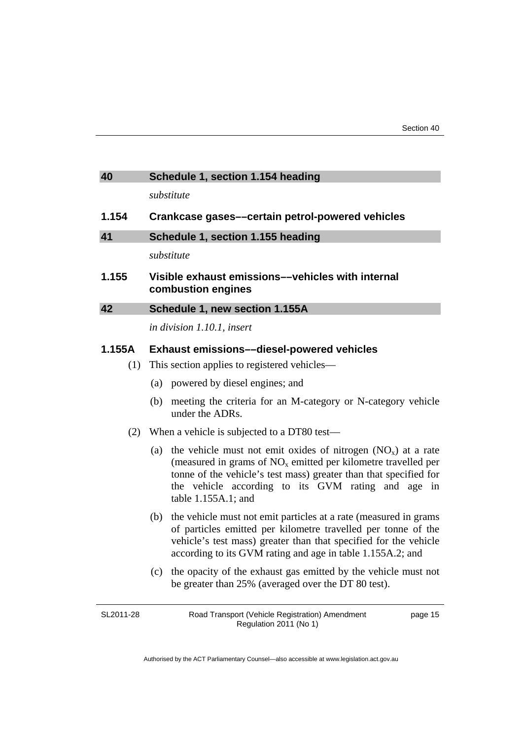<span id="page-20-2"></span><span id="page-20-1"></span><span id="page-20-0"></span>

| 40        | Schedule 1, section 1.154 heading                                                                                                                                                                                                                                                              |  |
|-----------|------------------------------------------------------------------------------------------------------------------------------------------------------------------------------------------------------------------------------------------------------------------------------------------------|--|
|           | substitute                                                                                                                                                                                                                                                                                     |  |
| 1.154     | Crankcase gases-certain petrol-powered vehicles                                                                                                                                                                                                                                                |  |
| 41        | Schedule 1, section 1.155 heading                                                                                                                                                                                                                                                              |  |
|           | substitute                                                                                                                                                                                                                                                                                     |  |
| 1.155     | Visible exhaust emissions--vehicles with internal<br>combustion engines                                                                                                                                                                                                                        |  |
| 42        | Schedule 1, new section 1.155A                                                                                                                                                                                                                                                                 |  |
|           | in division 1.10.1, insert                                                                                                                                                                                                                                                                     |  |
| 1.155A    | <b>Exhaust emissions--diesel-powered vehicles</b>                                                                                                                                                                                                                                              |  |
| (1)       | This section applies to registered vehicles—                                                                                                                                                                                                                                                   |  |
|           | (a) powered by diesel engines; and                                                                                                                                                                                                                                                             |  |
|           | meeting the criteria for an M-category or N-category vehicle<br>(b)<br>under the ADRs.                                                                                                                                                                                                         |  |
| (2)       | When a vehicle is subjected to a DT80 test-                                                                                                                                                                                                                                                    |  |
|           | the vehicle must not emit oxides of nitrogen $(NO_x)$ at a rate<br>(a)<br>(measured in grams of $NOx$ emitted per kilometre travelled per<br>tonne of the vehicle's test mass) greater than that specified for<br>the vehicle according to its GVM rating and age in<br>table $1.155A.1$ ; and |  |
|           | the vehicle must not emit particles at a rate (measured in grams<br>(b)<br>of particles emitted per kilometre travelled per tonne of the<br>vehicle's test mass) greater than that specified for the vehicle<br>according to its GVM rating and age in table 1.155A.2; and                     |  |
|           | the opacity of the exhaust gas emitted by the vehicle must not<br>(c)<br>be greater than 25% (averaged over the DT 80 test).                                                                                                                                                                   |  |
| SL2011-28 | Road Transport (Vehicle Registration) Amendment<br>page 15                                                                                                                                                                                                                                     |  |

Authorised by the ACT Parliamentary Counsel—also accessible at www.legislation.act.gov.au

Road Transport (Vehicle Registration) Amendment Regulation 2011 (No 1)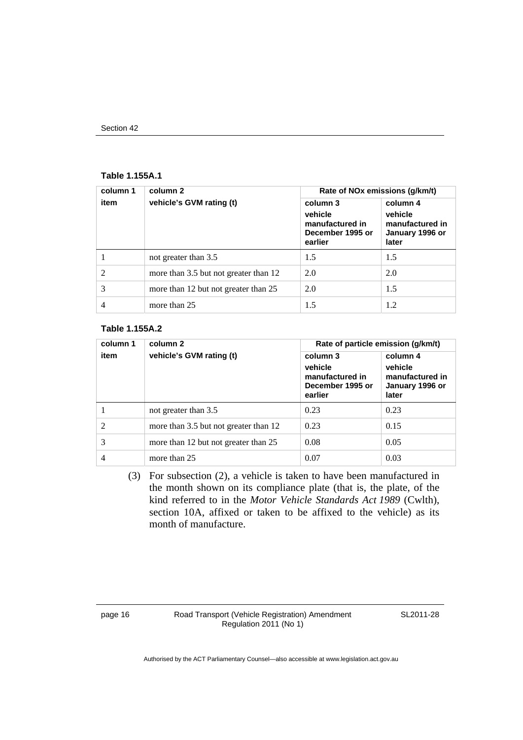#### Section 42

#### **Table 1.155A.1**

| column 1       | column 2                              | Rate of NOx emissions (g/km/t)                                        |                                                                    |
|----------------|---------------------------------------|-----------------------------------------------------------------------|--------------------------------------------------------------------|
| item           | vehicle's GVM rating (t)              | column 3<br>vehicle<br>manufactured in<br>December 1995 or<br>earlier | column 4<br>vehicle<br>manufactured in<br>January 1996 or<br>later |
|                | not greater than 3.5                  | 1.5                                                                   | 1.5                                                                |
| $\mathfrak{D}$ | more than 3.5 but not greater than 12 | 2.0                                                                   | 2.0                                                                |
| 3              | more than 12 but not greater than 25  | 2.0                                                                   | 1.5                                                                |
| 4              | more than 25                          | 1.5                                                                   | 1.2                                                                |

#### **Table 1.155A.2**

| column 1       | column 2                              | Rate of particle emission (g/km/t)                                    |                                                                    |
|----------------|---------------------------------------|-----------------------------------------------------------------------|--------------------------------------------------------------------|
| item           | vehicle's GVM rating (t)              | column 3<br>vehicle<br>manufactured in<br>December 1995 or<br>earlier | column 4<br>vehicle<br>manufactured in<br>January 1996 or<br>later |
|                | not greater than 3.5                  | 0.23                                                                  | 0.23                                                               |
| $\mathfrak{D}$ | more than 3.5 but not greater than 12 | 0.23                                                                  | 0.15                                                               |
| 3              | more than 12 but not greater than 25  | 0.08                                                                  | 0.05                                                               |
| 4              | more than 25                          | 0.07                                                                  | 0.03                                                               |

 (3) For subsection (2), a vehicle is taken to have been manufactured in the month shown on its compliance plate (that is, the plate, of the kind referred to in the *Motor Vehicle Standards Act 1989* (Cwlth), section 10A, affixed or taken to be affixed to the vehicle) as its month of manufacture.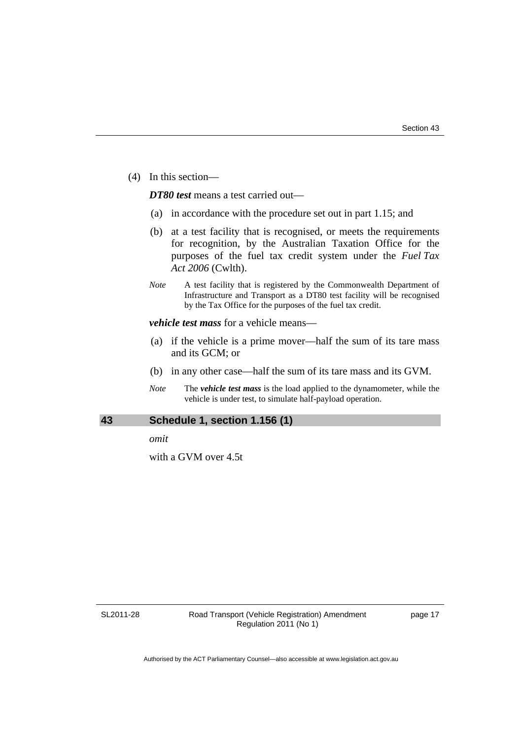(4) In this section––

*DT80 test* means a test carried out—

- (a) in accordance with the procedure set out in part 1.15; and
- (b) at a test facility that is recognised, or meets the requirements for recognition, by the Australian Taxation Office for the purposes of the fuel tax credit system under the *Fuel Tax Act 2006* (Cwlth).
- *Note* A test facility that is registered by the Commonwealth Department of Infrastructure and Transport as a DT80 test facility will be recognised by the Tax Office for the purposes of the fuel tax credit.

*vehicle test mass* for a vehicle means––

- (a) if the vehicle is a prime mover––half the sum of its tare mass and its GCM; or
- (b) in any other case––half the sum of its tare mass and its GVM.
- *Note* The *vehicle test mass* is the load applied to the dynamometer, while the vehicle is under test, to simulate half-payload operation.

#### <span id="page-22-0"></span>**43 Schedule 1, section 1.156 (1)**

*omit* 

with a GVM over 4.5t

SL2011-28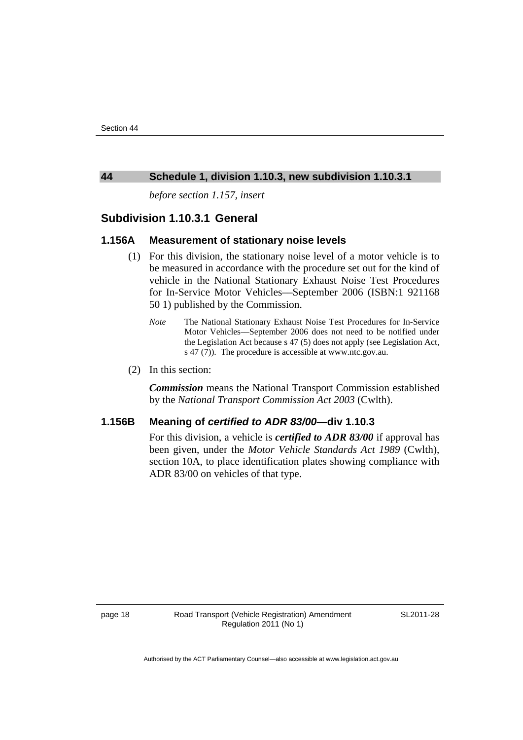#### <span id="page-23-0"></span>**44 Schedule 1, division 1.10.3, new subdivision 1.10.3.1**

*before section 1.157, insert* 

### **Subdivision 1.10.3.1 General**

### **1.156A Measurement of stationary noise levels**

- (1) For this division, the stationary noise level of a motor vehicle is to be measured in accordance with the procedure set out for the kind of vehicle in the National Stationary Exhaust Noise Test Procedures for In-Service Motor Vehicles––September 2006 (ISBN:1 921168 50 1) published by the Commission.
	- *Note* The National Stationary Exhaust Noise Test Procedures for In-Service Motor Vehicles––September 2006 does not need to be notified under the Legislation Act because s 47 (5) does not apply (see Legislation Act, s 47 (7)). The procedure is accessible at www.ntc.gov.au.
- (2) In this section:

*Commission* means the National Transport Commission established by the *National Transport Commission Act 2003* (Cwlth).

### **1.156B Meaning of** *certified to ADR 83/00***—div 1.10.3**

For this division, a vehicle is *certified to ADR 83/00* if approval has been given, under the *Motor Vehicle Standards Act 1989* (Cwlth), section 10A, to place identification plates showing compliance with ADR 83/00 on vehicles of that type.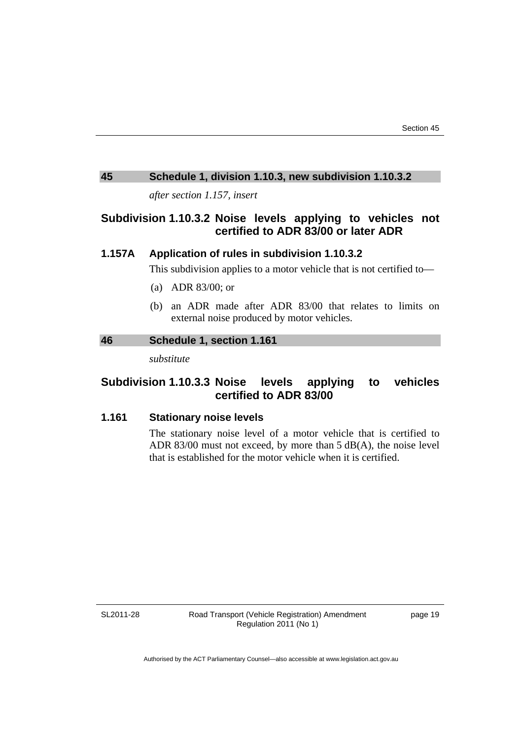### <span id="page-24-0"></span>**45 Schedule 1, division 1.10.3, new subdivision 1.10.3.2**

*after section 1.157, insert* 

### **Subdivision 1.10.3.2 Noise levels applying to vehicles not certified to ADR 83/00 or later ADR**

### **1.157A Application of rules in subdivision 1.10.3.2**

This subdivision applies to a motor vehicle that is not certified to—

- (a) ADR 83/00; or
- (b) an ADR made after ADR 83/00 that relates to limits on external noise produced by motor vehicles.

### <span id="page-24-1"></span>**46 Schedule 1, section 1.161**

*substitute* 

### **Subdivision 1.10.3.3 Noise levels applying to vehicles certified to ADR 83/00**

### **1.161 Stationary noise levels**

The stationary noise level of a motor vehicle that is certified to ADR 83/00 must not exceed, by more than 5 dB(A), the noise level that is established for the motor vehicle when it is certified.

SL2011-28

Road Transport (Vehicle Registration) Amendment Regulation 2011 (No 1)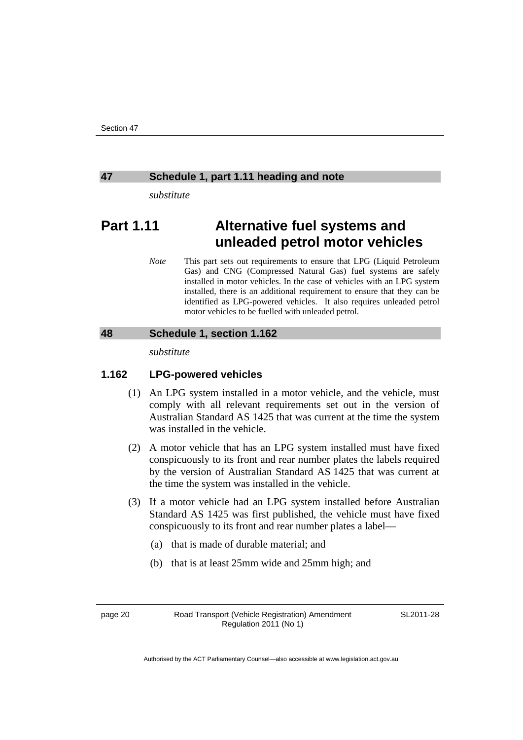#### <span id="page-25-0"></span>**47 Schedule 1, part 1.11 heading and note**

*substitute* 

# **Part 1.11 Alternative fuel systems and unleaded petrol motor vehicles**

*Note* This part sets out requirements to ensure that LPG (Liquid Petroleum Gas) and CNG (Compressed Natural Gas) fuel systems are safely installed in motor vehicles. In the case of vehicles with an LPG system installed, there is an additional requirement to ensure that they can be identified as LPG-powered vehicles. It also requires unleaded petrol motor vehicles to be fuelled with unleaded petrol.

### <span id="page-25-1"></span>**48 Schedule 1, section 1.162**

*substitute* 

### **1.162 LPG-powered vehicles**

- (1) An LPG system installed in a motor vehicle, and the vehicle, must comply with all relevant requirements set out in the version of Australian Standard AS 1425 that was current at the time the system was installed in the vehicle.
- (2) A motor vehicle that has an LPG system installed must have fixed conspicuously to its front and rear number plates the labels required by the version of Australian Standard AS 1425 that was current at the time the system was installed in the vehicle.
- (3) If a motor vehicle had an LPG system installed before Australian Standard AS 1425 was first published, the vehicle must have fixed conspicuously to its front and rear number plates a label––
	- (a) that is made of durable material; and
	- (b) that is at least 25mm wide and 25mm high; and

page 20 Road Transport (Vehicle Registration) Amendment Regulation 2011 (No 1)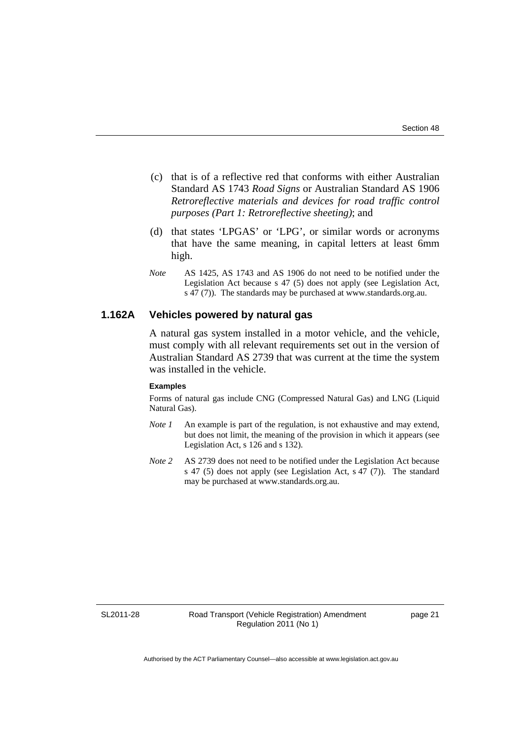- (c) that is of a reflective red that conforms with either Australian Standard AS 1743 *Road Signs* or Australian Standard AS 1906 *Retroreflective materials and devices for road traffic control purposes (Part 1: Retroreflective sheeting)*; and
- (d) that states 'LPGAS' or 'LPG', or similar words or acronyms that have the same meaning, in capital letters at least 6mm high.
- *Note* AS 1425, AS 1743 and AS 1906 do not need to be notified under the Legislation Act because s 47 (5) does not apply (see Legislation Act, s 47 (7)). The standards may be purchased at www.standards.org.au.

### **1.162A Vehicles powered by natural gas**

A natural gas system installed in a motor vehicle, and the vehicle, must comply with all relevant requirements set out in the version of Australian Standard AS 2739 that was current at the time the system was installed in the vehicle.

#### **Examples**

Forms of natural gas include CNG (Compressed Natural Gas) and LNG (Liquid Natural Gas).

- *Note 1* An example is part of the regulation, is not exhaustive and may extend, but does not limit, the meaning of the provision in which it appears (see Legislation Act, s 126 and s 132).
- *Note 2* AS 2739 does not need to be notified under the Legislation Act because s 47 (5) does not apply (see Legislation Act, s 47 (7)). The standard may be purchased at www.standards.org.au.

SL2011-28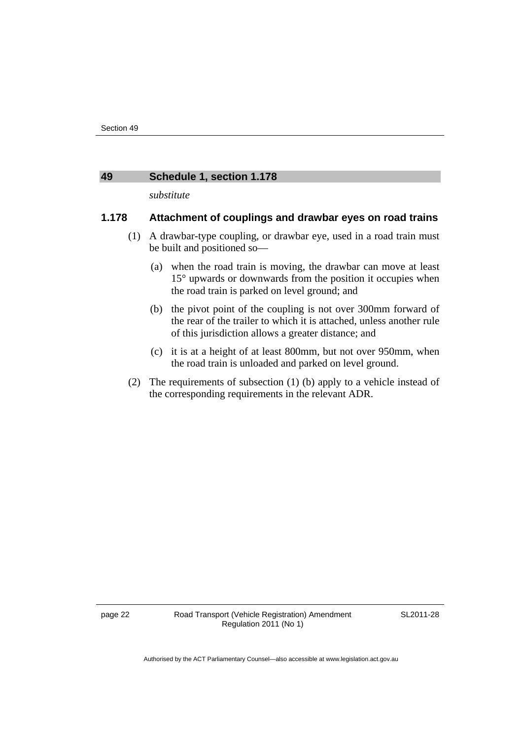#### <span id="page-27-0"></span>**49 Schedule 1, section 1.178**

*substitute* 

### **1.178 Attachment of couplings and drawbar eyes on road trains**

- (1) A drawbar-type coupling, or drawbar eye, used in a road train must be built and positioned so—
	- (a) when the road train is moving, the drawbar can move at least 15° upwards or downwards from the position it occupies when the road train is parked on level ground; and
	- (b) the pivot point of the coupling is not over 300mm forward of the rear of the trailer to which it is attached, unless another rule of this jurisdiction allows a greater distance; and
	- (c) it is at a height of at least 800mm, but not over 950mm, when the road train is unloaded and parked on level ground.
- (2) The requirements of subsection (1) (b) apply to a vehicle instead of the corresponding requirements in the relevant ADR.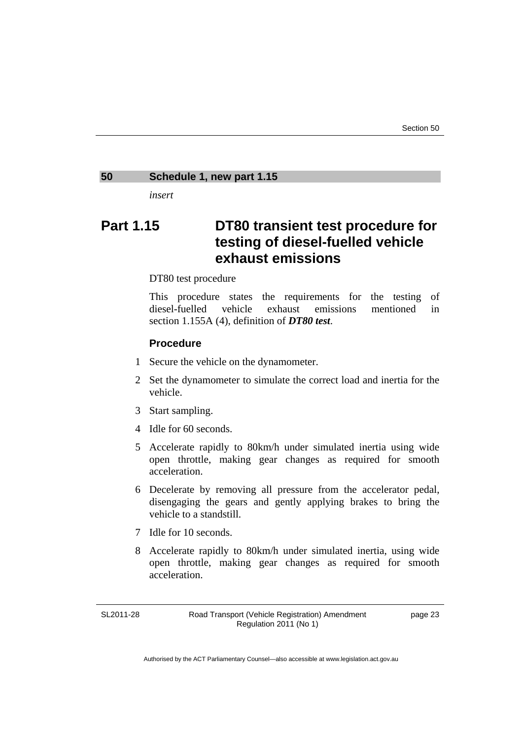### <span id="page-28-0"></span>**50 Schedule 1, new part 1.15**

*insert* 

# **Part 1.15 DT80 transient test procedure for testing of diesel-fuelled vehicle exhaust emissions**

#### DT80 test procedure

This procedure states the requirements for the testing of diesel-fuelled vehicle exhaust emissions mentioned in section 1.155A (4), definition of *DT80 test*.

### **Procedure**

- 1 Secure the vehicle on the dynamometer.
- 2 Set the dynamometer to simulate the correct load and inertia for the vehicle.
- 3 Start sampling.
- 4 Idle for 60 seconds.
- 5 Accelerate rapidly to 80km/h under simulated inertia using wide open throttle, making gear changes as required for smooth acceleration.
- 6 Decelerate by removing all pressure from the accelerator pedal, disengaging the gears and gently applying brakes to bring the vehicle to a standstill.
- 7 Idle for 10 seconds.
- 8 Accelerate rapidly to 80km/h under simulated inertia, using wide open throttle, making gear changes as required for smooth acceleration.

SL2011-28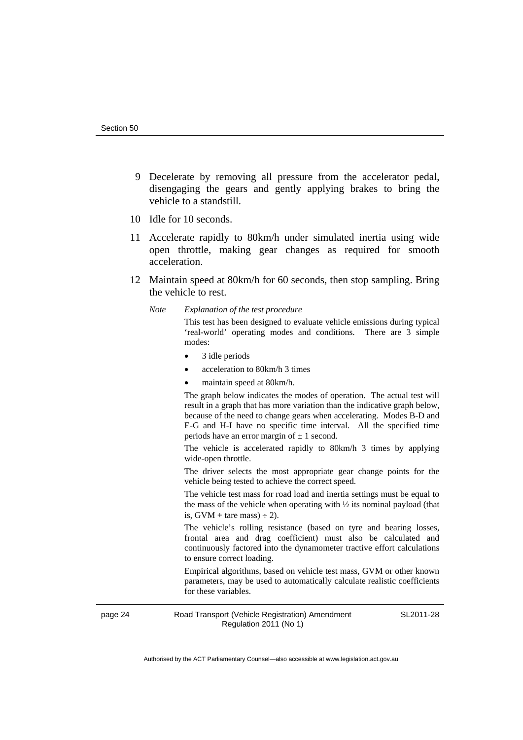- 9 Decelerate by removing all pressure from the accelerator pedal, disengaging the gears and gently applying brakes to bring the vehicle to a standstill.
- 10 Idle for 10 seconds.
- 11 Accelerate rapidly to 80km/h under simulated inertia using wide open throttle, making gear changes as required for smooth acceleration.
- 12 Maintain speed at 80km/h for 60 seconds, then stop sampling. Bring the vehicle to rest.
	- *Note Explanation of the test procedure*

This test has been designed to evaluate vehicle emissions during typical 'real-world' operating modes and conditions. There are 3 simple modes:

- 3 idle periods
- acceleration to 80km/h 3 times
- maintain speed at 80km/h.

The graph below indicates the modes of operation. The actual test will result in a graph that has more variation than the indicative graph below, because of the need to change gears when accelerating. Modes B-D and E-G and H-I have no specific time interval. All the specified time periods have an error margin of  $\pm$  1 second.

The vehicle is accelerated rapidly to 80km/h 3 times by applying wide-open throttle.

The driver selects the most appropriate gear change points for the vehicle being tested to achieve the correct speed.

The vehicle test mass for road load and inertia settings must be equal to the mass of the vehicle when operating with ½ its nominal payload (that is,  $GVM +$  tare mass)  $\div$  2).

The vehicle's rolling resistance (based on tyre and bearing losses, frontal area and drag coefficient) must also be calculated and continuously factored into the dynamometer tractive effort calculations to ensure correct loading.

Empirical algorithms, based on vehicle test mass, GVM or other known parameters, may be used to automatically calculate realistic coefficients for these variables.

page 24 Road Transport (Vehicle Registration) Amendment Regulation 2011 (No 1)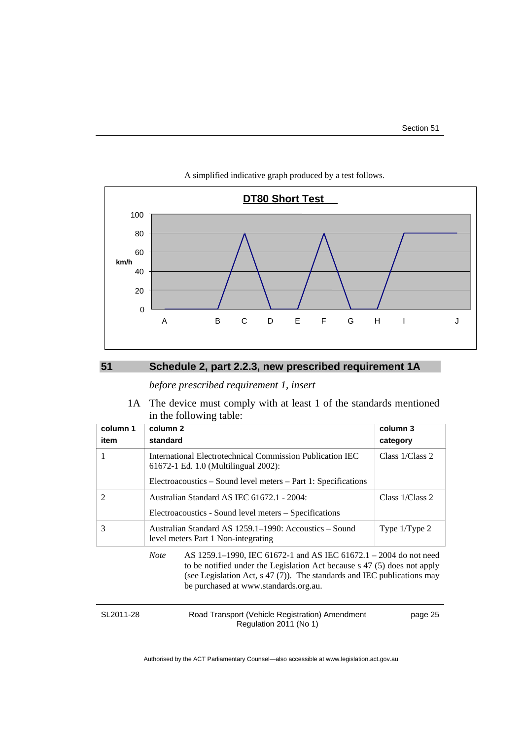

#### A simplified indicative graph produced by a test follows.

### <span id="page-30-0"></span>**51 Schedule 2, part 2.2.3, new prescribed requirement 1A**

### *before prescribed requirement 1, insert*

 1A The device must comply with at least 1 of the standards mentioned in the following table:

| column 1      | column <sub>2</sub><br>column 3                                                                                                                                                                                                                                                    |                    |
|---------------|------------------------------------------------------------------------------------------------------------------------------------------------------------------------------------------------------------------------------------------------------------------------------------|--------------------|
| item          | standard                                                                                                                                                                                                                                                                           | category           |
|               | International Electrotechnical Commission Publication IEC<br>61672-1 Ed. 1.0 (Multilingual 2002):                                                                                                                                                                                  | Class $1/C$ lass 2 |
|               | Electroacoustics – Sound level meters – Part 1: Specifications                                                                                                                                                                                                                     |                    |
| $\mathcal{L}$ | Australian Standard AS IEC 61672.1 - 2004:                                                                                                                                                                                                                                         | Class 1/Class 2    |
|               | Electroacoustics - Sound level meters – Specifications                                                                                                                                                                                                                             |                    |
| 3             | Australian Standard AS 1259.1–1990: Accoustics – Sound<br>level meters Part 1 Non-integrating                                                                                                                                                                                      | Type 1/Type 2      |
|               | <b>Note</b><br>AS 1259.1–1990, IEC 61672-1 and AS IEC 61672.1 – 2004 do not need<br>to be notified under the Legislation Act because s 47 (5) does not apply<br>(see Legislation Act, $s$ 47 (7)). The standards and IEC publications may<br>be purchased at www.standards.org.au. |                    |

| SL2011-28 | Road Transport (Vehicle Registration) Amendment | page 25 |
|-----------|-------------------------------------------------|---------|
|           | Regulation 2011 (No 1)                          |         |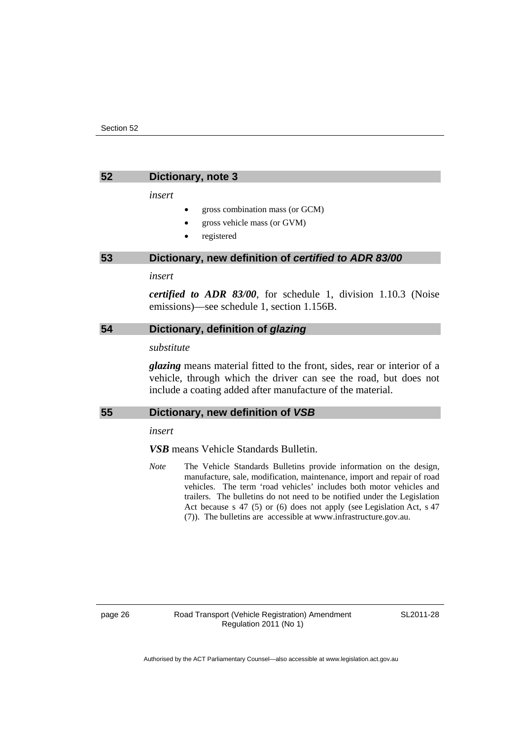<span id="page-31-0"></span>

#### **52 Dictionary, note 3**

*insert* 

- gross combination mass (or GCM)
- gross vehicle mass (or GVM)
- registered

#### <span id="page-31-1"></span>**53 Dictionary, new definition of** *certified to ADR 83/00*

#### *insert*

*certified to ADR 83/00*, for schedule 1, division 1.10.3 (Noise emissions)––see schedule 1, section 1.156B.

### <span id="page-31-2"></span>**54 Dictionary, definition of** *glazing*

#### *substitute*

*glazing* means material fitted to the front, sides, rear or interior of a vehicle, through which the driver can see the road, but does not include a coating added after manufacture of the material.

### <span id="page-31-3"></span>**55 Dictionary, new definition of** *VSB*

*insert* 

*VSB* means Vehicle Standards Bulletin.

*Note* The Vehicle Standards Bulletins provide information on the design, manufacture, sale, modification, maintenance, import and repair of road vehicles. The term 'road vehicles' includes both motor vehicles and trailers. The bulletins do not need to be notified under the Legislation Act because s 47 (5) or (6) does not apply (see Legislation Act, s 47 (7)). The bulletins are accessible at www.infrastructure.gov.au.

page 26 Road Transport (Vehicle Registration) Amendment Regulation 2011 (No 1)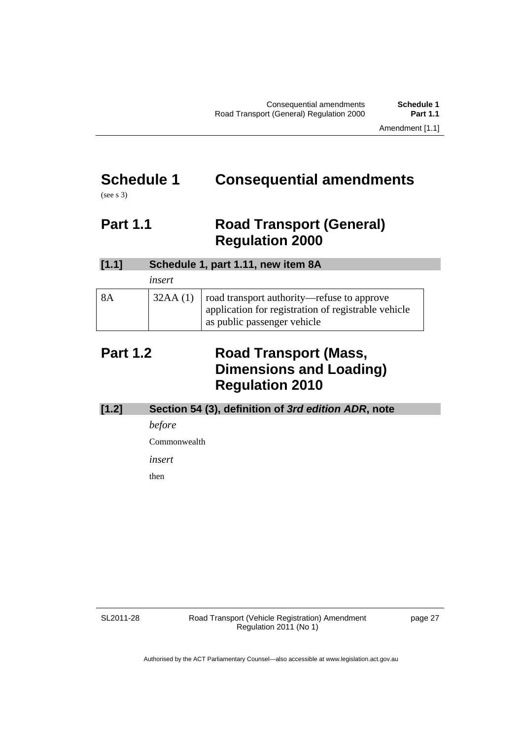# <span id="page-32-0"></span>**Schedule 1 Consequential amendments**

(see s 3)

# <span id="page-32-1"></span>**Part 1.1 Road Transport (General) Regulation 2000**

| [1.1] |         | Schedule 1, part 1.11, new item 8A                                                                                               |
|-------|---------|----------------------------------------------------------------------------------------------------------------------------------|
|       | insert  |                                                                                                                                  |
| 8Α    | 32AA(1) | road transport authority—refuse to approve<br>application for registration of registrable vehicle<br>as public passenger vehicle |

# <span id="page-32-2"></span>**Part 1.2 Road Transport (Mass, Dimensions and Loading) Regulation 2010**

| $[1.2]$ | Section 54 (3), definition of 3rd edition ADR, note |
|---------|-----------------------------------------------------|
|         | <i>before</i>                                       |
|         | Commonwealth                                        |
|         | insert                                              |
|         | then                                                |
|         |                                                     |

SL2011-28

Road Transport (Vehicle Registration) Amendment Regulation 2011 (No 1)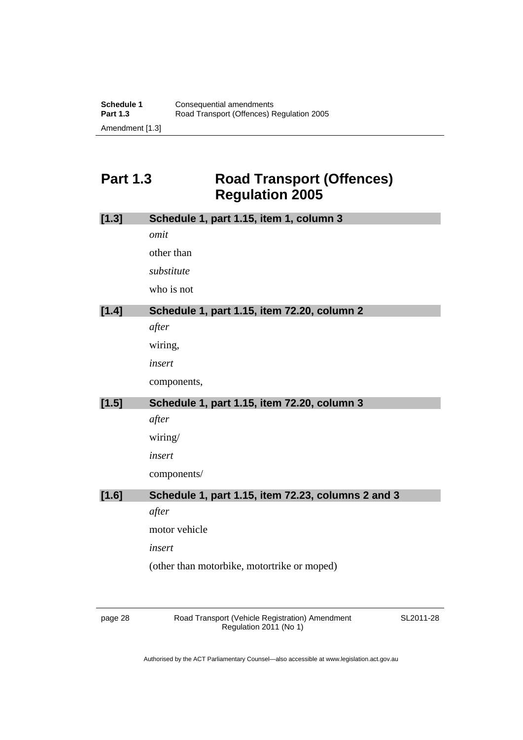# <span id="page-33-0"></span>Part 1.3 Road Transport (Offences) **Regulation 2005**

| [1.3]   | Schedule 1, part 1.15, item 1, column 3            |
|---------|----------------------------------------------------|
|         | omit                                               |
|         | other than                                         |
|         | substitute                                         |
|         | who is not                                         |
| $[1.4]$ | Schedule 1, part 1.15, item 72.20, column 2        |
|         | after                                              |
|         | wiring,                                            |
|         | insert                                             |
|         | components,                                        |
| [1.5]   | Schedule 1, part 1.15, item 72.20, column 3        |
|         | after                                              |
|         | wiring/                                            |
|         | insert                                             |
|         | components/                                        |
| [1.6]   | Schedule 1, part 1.15, item 72.23, columns 2 and 3 |
|         | after                                              |
|         | motor vehicle                                      |
|         | insert                                             |
|         | (other than motorbike, motortrike or moped)        |
|         |                                                    |

page 28 Road Transport (Vehicle Registration) Amendment Regulation 2011 (No 1)

SL2011-28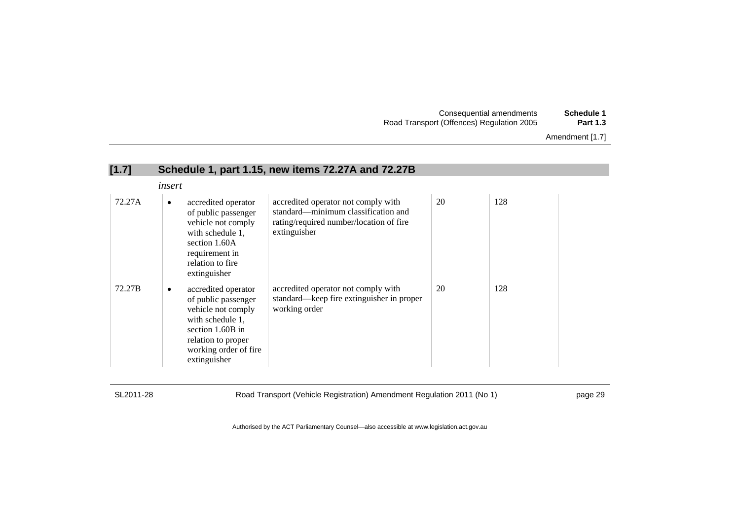| Schedule 1      | Consequential amendments                  |
|-----------------|-------------------------------------------|
| <b>Part 1.3</b> | Road Transport (Offences) Regulation 2005 |

Amendment [1.7]

| [1.7]  |                                                                                                                                                                              | Schedule 1, part 1.15, new items 72.27A and 72.27B                                                                                    |    |     |  |
|--------|------------------------------------------------------------------------------------------------------------------------------------------------------------------------------|---------------------------------------------------------------------------------------------------------------------------------------|----|-----|--|
|        | insert                                                                                                                                                                       |                                                                                                                                       |    |     |  |
| 72.27A | accredited operator<br>$\bullet$<br>of public passenger<br>vehicle not comply<br>with schedule 1,<br>section 1.60A<br>requirement in<br>relation to fire<br>extinguisher     | accredited operator not comply with<br>standard—minimum classification and<br>rating/required number/location of fire<br>extinguisher | 20 | 128 |  |
| 72.27B | accredited operator<br>٠<br>of public passenger<br>vehicle not comply<br>with schedule 1,<br>section 1.60B in<br>relation to proper<br>working order of fire<br>extinguisher | accredited operator not comply with<br>standard—keep fire extinguisher in proper<br>working order                                     | 20 | 128 |  |

SL2011-28 Road Transport (Vehicle Registration) Amendment Regulation 2011 (No 1) page 29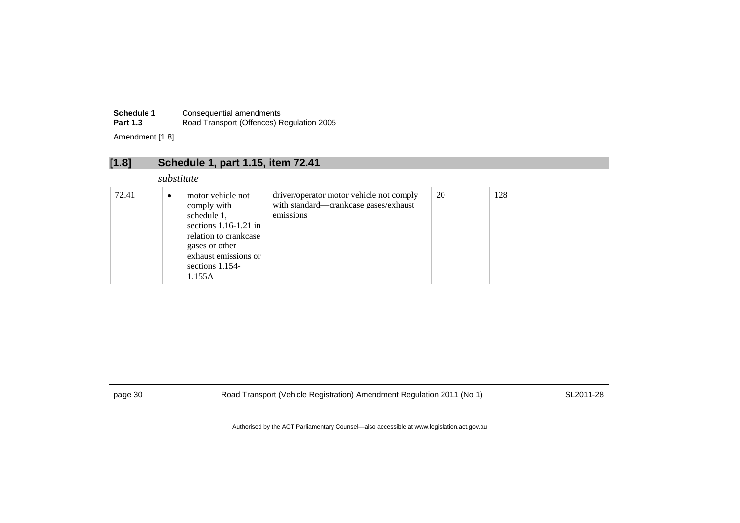| <b>Schedule 1</b> | Consequential amendments                  |
|-------------------|-------------------------------------------|
| <b>Part 1.3</b>   | Road Transport (Offences) Regulation 2005 |

Amendment [1.8]

| [1.8] | Schedule 1, part 1.15, item 72.41                                                                                                                                                        |                                                                                                |    |     |  |
|-------|------------------------------------------------------------------------------------------------------------------------------------------------------------------------------------------|------------------------------------------------------------------------------------------------|----|-----|--|
|       | substitute                                                                                                                                                                               |                                                                                                |    |     |  |
| 72.41 | motor vehicle not<br>$\bullet$<br>comply with<br>schedule 1,<br>sections $1.16-1.21$ in<br>relation to crankcase<br>gases or other<br>exhaust emissions or<br>sections $1.154$<br>1.155A | driver/operator motor vehicle not comply<br>with standard-crankcase gases/exhaust<br>emissions | 20 | 128 |  |

page 30 Road Transport (Vehicle Registration) Amendment Regulation 2011 (No 1) SL2011-28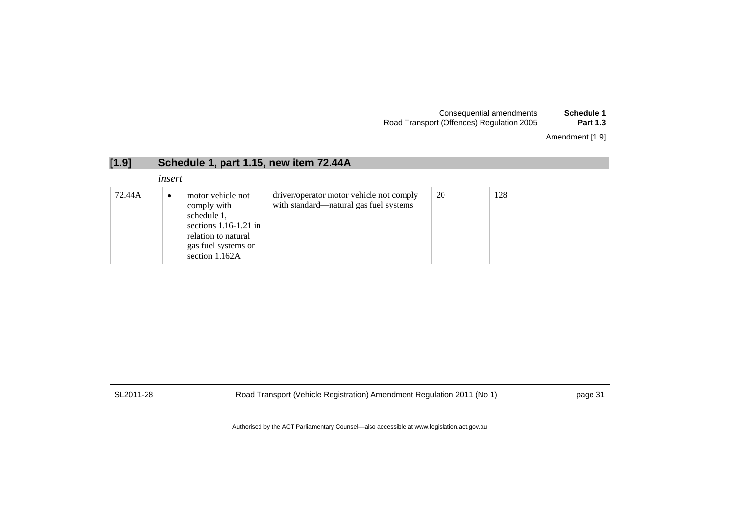| Schedule 1      | Consequential amendments                  |
|-----------------|-------------------------------------------|
| <b>Part 1.3</b> | Road Transport (Offences) Regulation 2005 |

| Amendment [1.9] |  |  |
|-----------------|--|--|
|-----------------|--|--|

| [1.9]  | Schedule 1, part 1.15, new item 72.44A                                                                                                                  |                                                                                    |    |     |  |
|--------|---------------------------------------------------------------------------------------------------------------------------------------------------------|------------------------------------------------------------------------------------|----|-----|--|
|        | insert                                                                                                                                                  |                                                                                    |    |     |  |
| 72.44A | motor vehicle not<br>$\bullet$<br>comply with<br>schedule 1,<br>sections $1.16-1.21$ in<br>relation to natural<br>gas fuel systems or<br>section 1.162A | driver/operator motor vehicle not comply<br>with standard—natural gas fuel systems | 20 | 128 |  |

SL2011-28 Road Transport (Vehicle Registration) Amendment Regulation 2011 (No 1) page 31